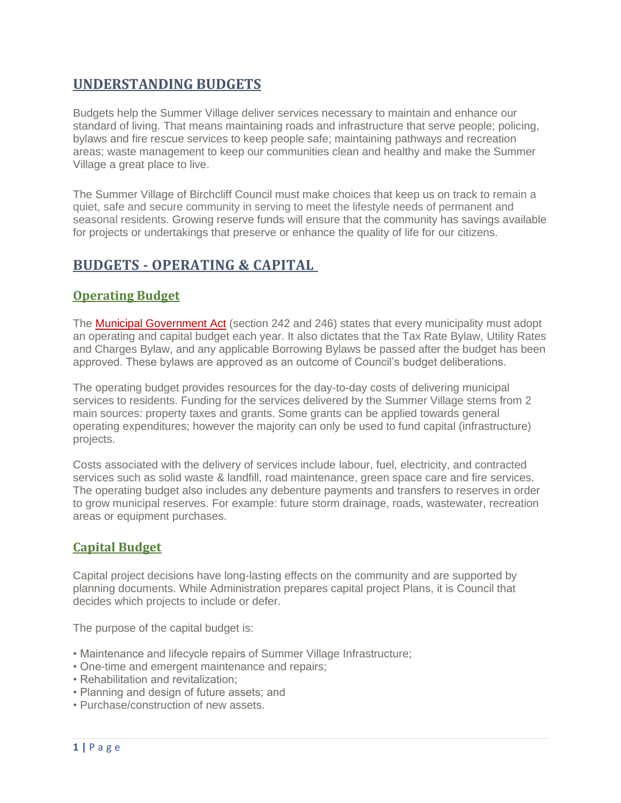## **UNDERSTANDING BUDGETS**

Budgets help the Summer Village deliver services necessary to maintain and enhance our standard of living. That means maintaining roads and infrastructure that serve people; policing, bylaws and fire rescue services to keep people safe; maintaining pathways and recreation areas; waste management to keep our communities clean and healthy and make the Summer Village a great place to live.

The Summer Village of Birchcliff Council must make choices that keep us on track to remain a quiet, safe and secure community in serving to meet the lifestyle needs of permanent and seasonal residents. Growing reserve funds will ensure that the community has savings available for projects or undertakings that preserve or enhance the quality of life for our citizens.

## **BUDGETS - OPERATING & CAPITAL**

## **Operating Budget**

The [Municipal Government Act](https://www.qp.alberta.ca/documents/Acts/m26.pdf) (section 242 and 246) states that every municipality must adopt an operating and capital budget each year. It also dictates that the Tax Rate Bylaw, Utility Rates and Charges Bylaw, and any applicable Borrowing Bylaws be passed after the budget has been approved. These bylaws are approved as an outcome of Council's budget deliberations.

The operating budget provides resources for the day-to-day costs of delivering municipal services to residents. Funding for the services delivered by the Summer Village stems from 2 main sources: property taxes and grants. Some grants can be applied towards general operating expenditures; however the majority can only be used to fund capital (infrastructure) projects.

Costs associated with the delivery of services include labour, fuel, electricity, and contracted services such as solid waste & landfill, road maintenance, green space care and fire services. The operating budget also includes any debenture payments and transfers to reserves in order to grow municipal reserves. For example: future storm drainage, roads, wastewater, recreation areas or equipment purchases.

## **Capital Budget**

Capital project decisions have long-lasting effects on the community and are supported by planning documents. While Administration prepares capital project Plans, it is Council that decides which projects to include or defer.

The purpose of the capital budget is:

- Maintenance and lifecycle repairs of Summer Village Infrastructure;
- One-time and emergent maintenance and repairs;
- Rehabilitation and revitalization;
- Planning and design of future assets; and
- Purchase/construction of new assets.